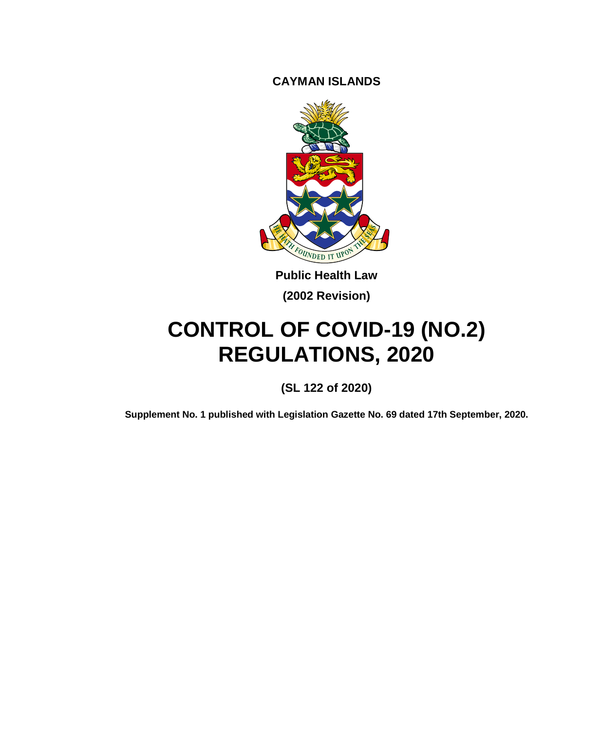**CAYMAN ISLANDS**



**Public Health Law (2002 Revision)**

# **CONTROL OF COVID-19 (NO.2) REGULATIONS, 2020**

**(SL 122 of 2020)**

**Supplement No. 1 published with Legislation Gazette No. 69 dated 17th September, 2020.**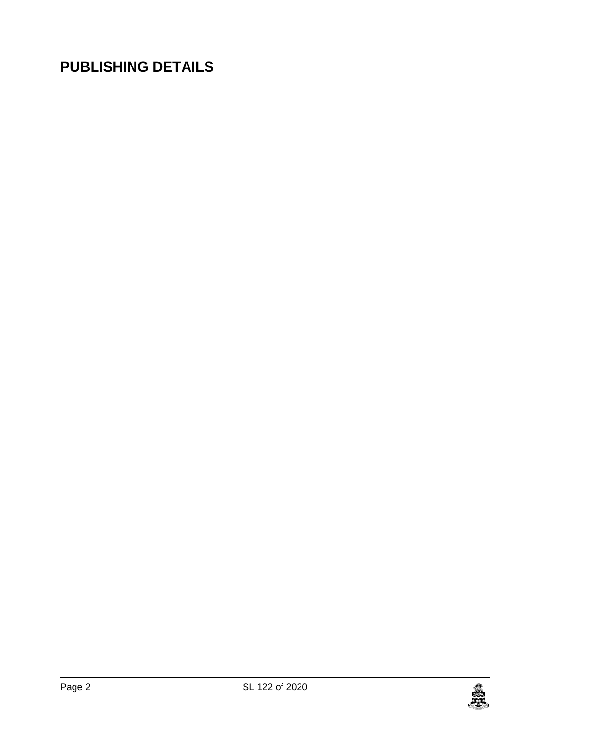### **PUBLISHING DETAILS**

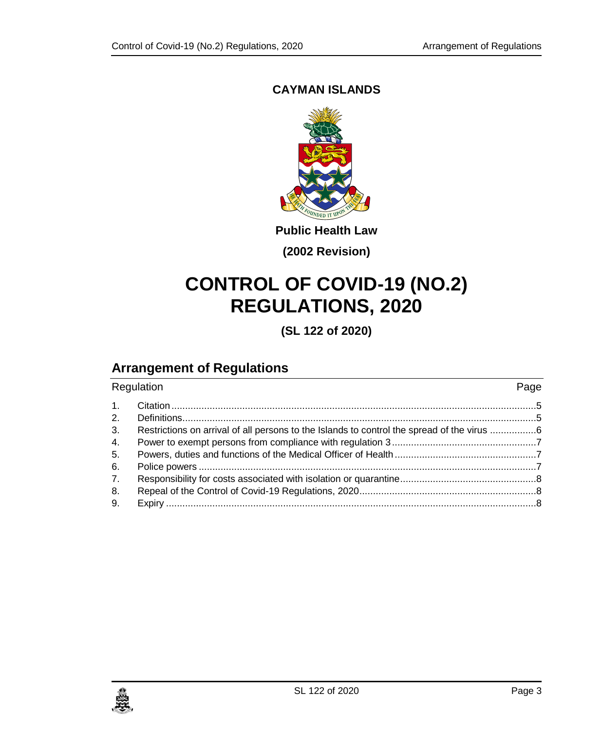#### **CAYMAN ISLANDS**



**Public Health Law**

**(2002 Revision)**

## **CONTROL OF COVID-19 (NO.2) REGULATIONS, 2020**

**(SL 122 of 2020)**

### **Arrangement of Regulations**

| Regulation     |                                                                                          | Page |
|----------------|------------------------------------------------------------------------------------------|------|
| $\mathbf{1}$ . |                                                                                          |      |
| 2.             |                                                                                          |      |
| 3.             | Restrictions on arrival of all persons to the Islands to control the spread of the virus |      |
| 4.             |                                                                                          |      |
| 5.             |                                                                                          |      |
| 6.             |                                                                                          |      |
| 7.             |                                                                                          |      |
| 8.             |                                                                                          |      |
| 9.             |                                                                                          |      |
|                |                                                                                          |      |

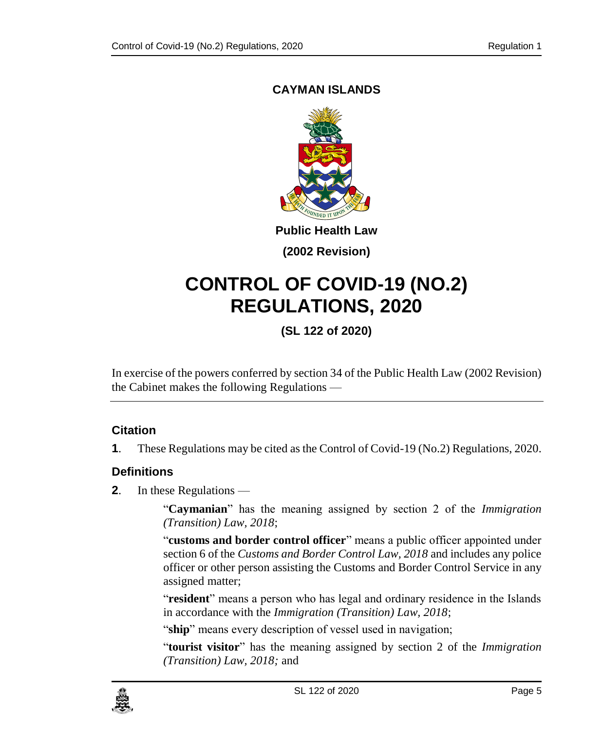#### <span id="page-4-0"></span>**CAYMAN ISLANDS**



**Public Health Law**

**(2002 Revision)**

## **CONTROL OF COVID-19 (NO.2) REGULATIONS, 2020**

**(SL 122 of 2020)**

In exercise of the powers conferred by section 34 of the Public Health Law (2002 Revision) the Cabinet makes the following Regulations —

#### **1. Citation**

**1**. These Regulations may be cited as the Control of Covid-19 (No.2) Regulations, 2020.

#### <span id="page-4-1"></span>**2. Definitions**

**2**. In these Regulations —

"**Caymanian**" has the meaning assigned by section 2 of the *Immigration (Transition) Law, 2018*;

"**customs and border control officer**" means a public officer appointed under section 6 of the *Customs and Border Control Law, 2018* and includes any police officer or other person assisting the Customs and Border Control Service in any assigned matter;

"**resident**" means a person who has legal and ordinary residence in the Islands in accordance with the *Immigration (Transition) Law, 2018*;

"ship" means every description of vessel used in navigation;

"**tourist visitor**" has the meaning assigned by section 2 of the *Immigration (Transition) Law, 2018;* and

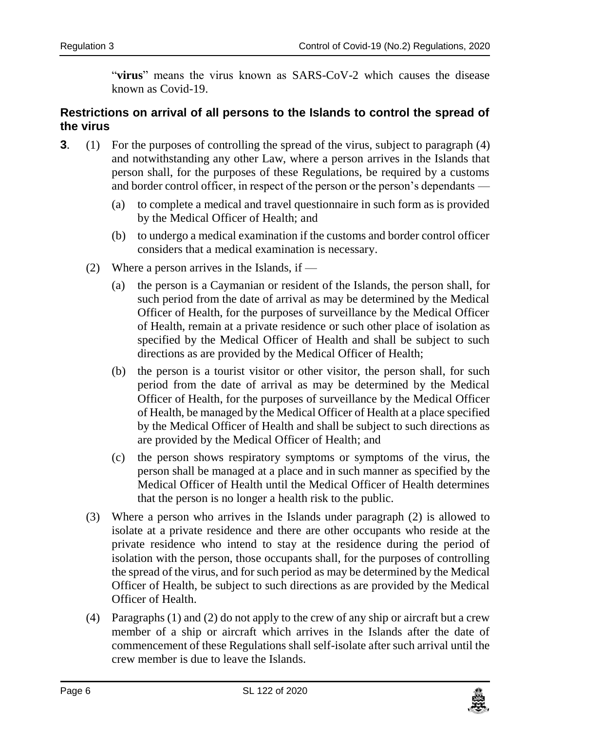"**virus**" means the virus known as SARS-CoV-2 which causes the disease known as Covid-19.

#### <span id="page-5-0"></span>**3. Restrictions on arrival of all persons to the Islands to control the spread of the virus**

- **3**. (1) For the purposes of controlling the spread of the virus, subject to paragraph (4) and notwithstanding any other Law, where a person arrives in the Islands that person shall, for the purposes of these Regulations, be required by a customs and border control officer, in respect of the person or the person's dependants —
	- (a) to complete a medical and travel questionnaire in such form as is provided by the Medical Officer of Health; and
	- (b) to undergo a medical examination if the customs and border control officer considers that a medical examination is necessary.
	- (2) Where a person arrives in the Islands, if  $-$ 
		- (a) the person is a Caymanian or resident of the Islands, the person shall, for such period from the date of arrival as may be determined by the Medical Officer of Health, for the purposes of surveillance by the Medical Officer of Health, remain at a private residence or such other place of isolation as specified by the Medical Officer of Health and shall be subject to such directions as are provided by the Medical Officer of Health;
		- (b) the person is a tourist visitor or other visitor, the person shall, for such period from the date of arrival as may be determined by the Medical Officer of Health, for the purposes of surveillance by the Medical Officer of Health, be managed by the Medical Officer of Health at a place specified by the Medical Officer of Health and shall be subject to such directions as are provided by the Medical Officer of Health; and
		- (c) the person shows respiratory symptoms or symptoms of the virus, the person shall be managed at a place and in such manner as specified by the Medical Officer of Health until the Medical Officer of Health determines that the person is no longer a health risk to the public.
	- (3) Where a person who arrives in the Islands under paragraph (2) is allowed to isolate at a private residence and there are other occupants who reside at the private residence who intend to stay at the residence during the period of isolation with the person, those occupants shall, for the purposes of controlling the spread of the virus, and for such period as may be determined by the Medical Officer of Health, be subject to such directions as are provided by the Medical Officer of Health.
	- (4) Paragraphs (1) and (2) do not apply to the crew of any ship or aircraft but a crew member of a ship or aircraft which arrives in the Islands after the date of commencement of these Regulations shall self-isolate after such arrival until the crew member is due to leave the Islands.

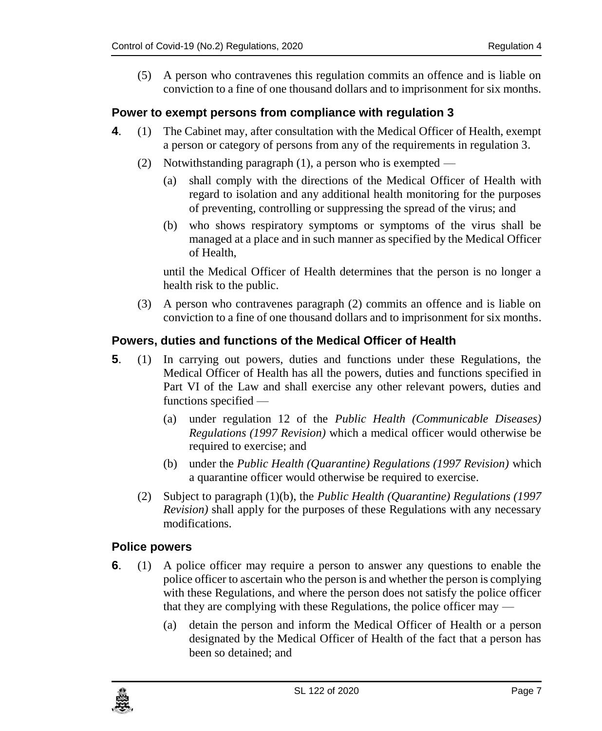(5) A person who contravenes this regulation commits an offence and is liable on conviction to a fine of one thousand dollars and to imprisonment for six months.

#### <span id="page-6-0"></span>**4. Power to exempt persons from compliance with regulation 3**

- **4**. (1) The Cabinet may, after consultation with the Medical Officer of Health, exempt a person or category of persons from any of the requirements in regulation 3.
	- (2) Notwithstanding paragraph (1), a person who is exempted
		- (a) shall comply with the directions of the Medical Officer of Health with regard to isolation and any additional health monitoring for the purposes of preventing, controlling or suppressing the spread of the virus; and
		- (b) who shows respiratory symptoms or symptoms of the virus shall be managed at a place and in such manner as specified by the Medical Officer of Health,

until the Medical Officer of Health determines that the person is no longer a health risk to the public.

(3) A person who contravenes paragraph (2) commits an offence and is liable on conviction to a fine of one thousand dollars and to imprisonment for six months.

#### <span id="page-6-1"></span>**5. Powers, duties and functions of the Medical Officer of Health**

- **5**. (1) In carrying out powers, duties and functions under these Regulations, the Medical Officer of Health has all the powers, duties and functions specified in Part VI of the Law and shall exercise any other relevant powers, duties and functions specified —
	- (a) under regulation 12 of the *Public Health (Communicable Diseases) Regulations (1997 Revision)* which a medical officer would otherwise be required to exercise; and
	- (b) under the *Public Health (Quarantine) Regulations (1997 Revision)* which a quarantine officer would otherwise be required to exercise.
	- (2) Subject to paragraph (1)(b), the *Public Health (Quarantine) Regulations (1997 Revision)* shall apply for the purposes of these Regulations with any necessary modifications.

#### <span id="page-6-2"></span>**6. Police powers**

- **6**. (1) A police officer may require a person to answer any questions to enable the police officer to ascertain who the person is and whether the person is complying with these Regulations, and where the person does not satisfy the police officer that they are complying with these Regulations, the police officer may —
	- (a) detain the person and inform the Medical Officer of Health or a person designated by the Medical Officer of Health of the fact that a person has been so detained; and